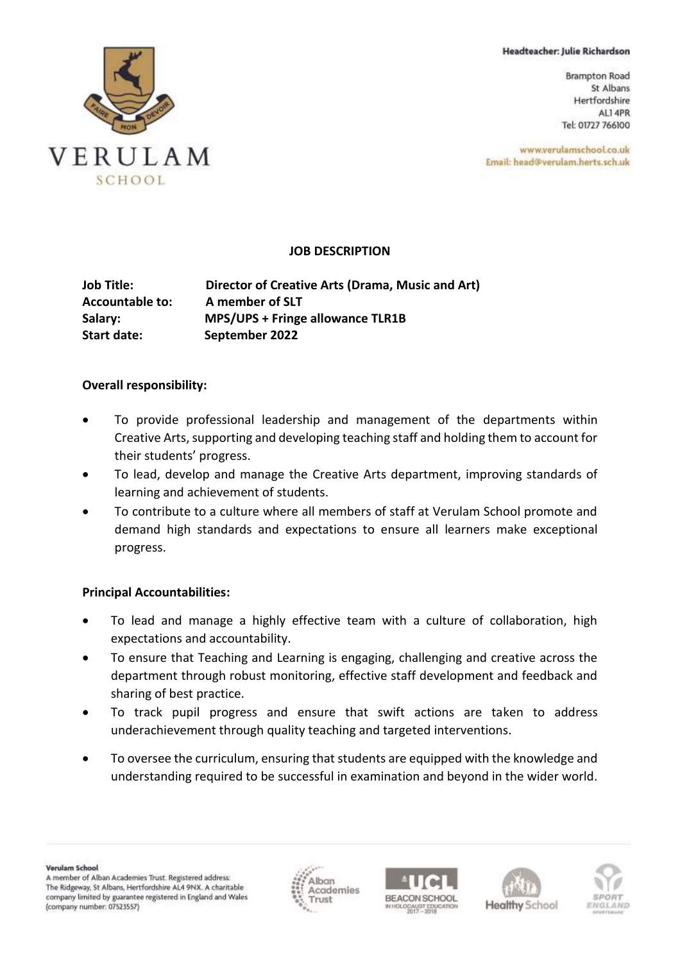Headteacher: Julie Richardson

**Brampton Road** St Albans Hertfordshire ALI 4PR Tel: 01727 766100

www.verulamschool.co.uk Email: head@verulam.herts.sch.uk



#### **JOB DESCRIPTION**

**Job Title: Director of Creative Arts (Drama, Music and Art) Accountable to: A member of SLT Salary: MPS/UPS + Fringe allowance TLR1B Start date: September 2022**

#### **Overall responsibility:**

- To provide professional leadership and management of the departments within Creative Arts, supporting and developing teaching staff and holding them to account for their students' progress.
- To lead, develop and manage the Creative Arts department, improving standards of learning and achievement of students.
- To contribute to a culture where all members of staff at Verulam School promote and demand high standards and expectations to ensure all learners make exceptional progress.

### **Principal Accountabilities:**

- To lead and manage a highly effective team with a culture of collaboration, high expectations and accountability.
- To ensure that Teaching and Learning is engaging, challenging and creative across the department through robust monitoring, effective staff development and feedback and sharing of best practice.
- To track pupil progress and ensure that swift actions are taken to address underachievement through quality teaching and targeted interventions.
- To oversee the curriculum, ensuring that students are equipped with the knowledge and understanding required to be successful in examination and beyond in the wider world.







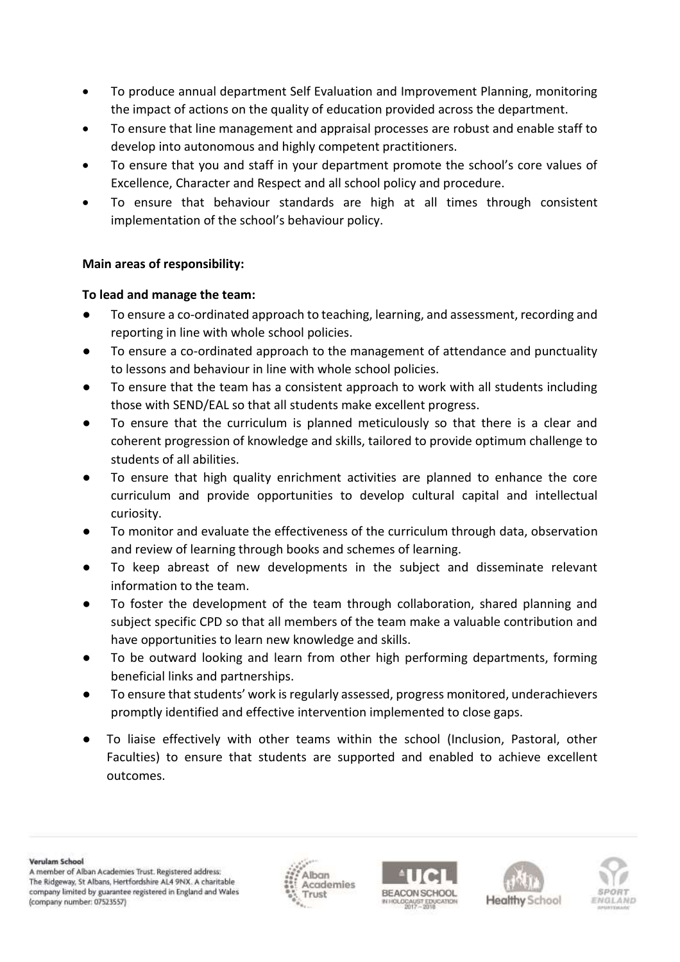- To produce annual department Self Evaluation and Improvement Planning, monitoring the impact of actions on the quality of education provided across the department.
- To ensure that line management and appraisal processes are robust and enable staff to develop into autonomous and highly competent practitioners.
- To ensure that you and staff in your department promote the school's core values of Excellence, Character and Respect and all school policy and procedure.
- To ensure that behaviour standards are high at all times through consistent implementation of the school's behaviour policy.

## **Main areas of responsibility:**

## **To lead and manage the team:**

- To ensure a co-ordinated approach to teaching, learning, and assessment, recording and reporting in line with whole school policies.
- To ensure a co-ordinated approach to the management of attendance and punctuality to lessons and behaviour in line with whole school policies.
- To ensure that the team has a consistent approach to work with all students including those with SEND/EAL so that all students make excellent progress.
- To ensure that the curriculum is planned meticulously so that there is a clear and coherent progression of knowledge and skills, tailored to provide optimum challenge to students of all abilities.
- To ensure that high quality enrichment activities are planned to enhance the core curriculum and provide opportunities to develop cultural capital and intellectual curiosity.
- To monitor and evaluate the effectiveness of the curriculum through data, observation and review of learning through books and schemes of learning.
- To keep abreast of new developments in the subject and disseminate relevant information to the team.
- To foster the development of the team through collaboration, shared planning and subject specific CPD so that all members of the team make a valuable contribution and have opportunities to learn new knowledge and skills.
- To be outward looking and learn from other high performing departments, forming beneficial links and partnerships.
- To ensure that students' work is regularly assessed, progress monitored, underachievers promptly identified and effective intervention implemented to close gaps.
- To liaise effectively with other teams within the school (Inclusion, Pastoral, other Faculties) to ensure that students are supported and enabled to achieve excellent outcomes.

Verulam School

A member of Alban Academies Trust. Registered address: The Ridgeway, St Albans, Hertfordshire AL4 9NX. A charitable company limited by guarantee registered in England and Wales (company number: 07523557)







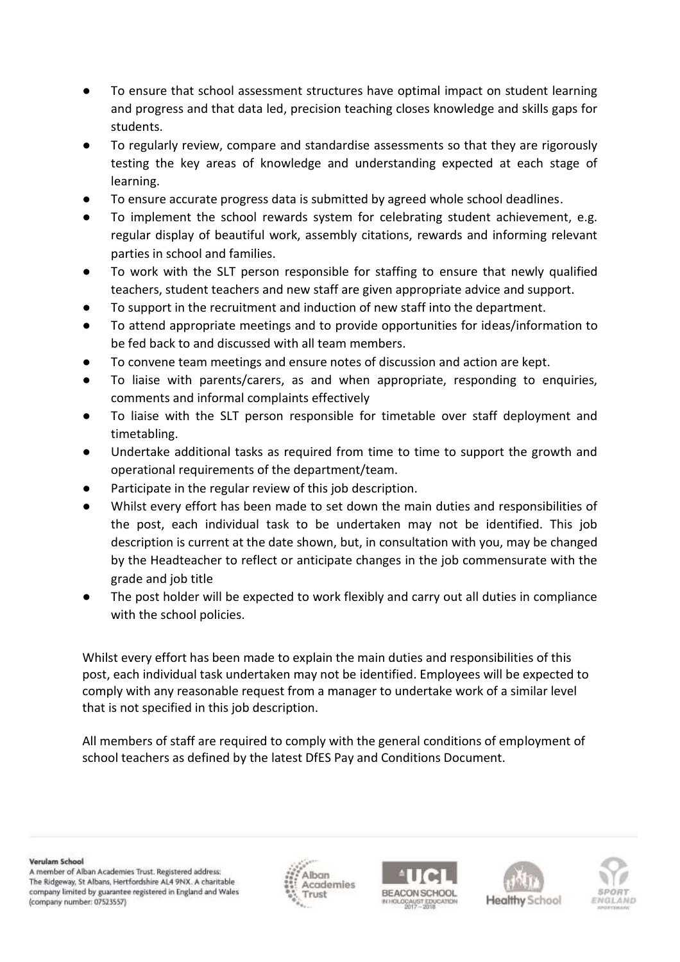- To ensure that school assessment structures have optimal impact on student learning and progress and that data led, precision teaching closes knowledge and skills gaps for students.
- To regularly review, compare and standardise assessments so that they are rigorously testing the key areas of knowledge and understanding expected at each stage of learning.
- To ensure accurate progress data is submitted by agreed whole school deadlines.
- To implement the school rewards system for celebrating student achievement, e.g. regular display of beautiful work, assembly citations, rewards and informing relevant parties in school and families.
- To work with the SLT person responsible for staffing to ensure that newly qualified teachers, student teachers and new staff are given appropriate advice and support.
- To support in the recruitment and induction of new staff into the department.
- To attend appropriate meetings and to provide opportunities for ideas/information to be fed back to and discussed with all team members.
- To convene team meetings and ensure notes of discussion and action are kept.
- To liaise with parents/carers, as and when appropriate, responding to enquiries, comments and informal complaints effectively
- To liaise with the SLT person responsible for timetable over staff deployment and timetabling.
- Undertake additional tasks as required from time to time to support the growth and operational requirements of the department/team.
- Participate in the regular review of this job description.
- Whilst every effort has been made to set down the main duties and responsibilities of the post, each individual task to be undertaken may not be identified. This job description is current at the date shown, but, in consultation with you, may be changed by the Headteacher to reflect or anticipate changes in the job commensurate with the grade and job title
- The post holder will be expected to work flexibly and carry out all duties in compliance with the school policies.

Whilst every effort has been made to explain the main duties and responsibilities of this post, each individual task undertaken may not be identified. Employees will be expected to comply with any reasonable request from a manager to undertake work of a similar level that is not specified in this job description.

All members of staff are required to comply with the general conditions of employment of school teachers as defined by the latest DfES Pay and Conditions Document.

Verulam School

A member of Alban Academies Trust. Registered address: The Ridgeway, St Albans, Hertfordshire AL4 9NX. A charitable company limited by guarantee registered in England and Wales (company number: 07523557)







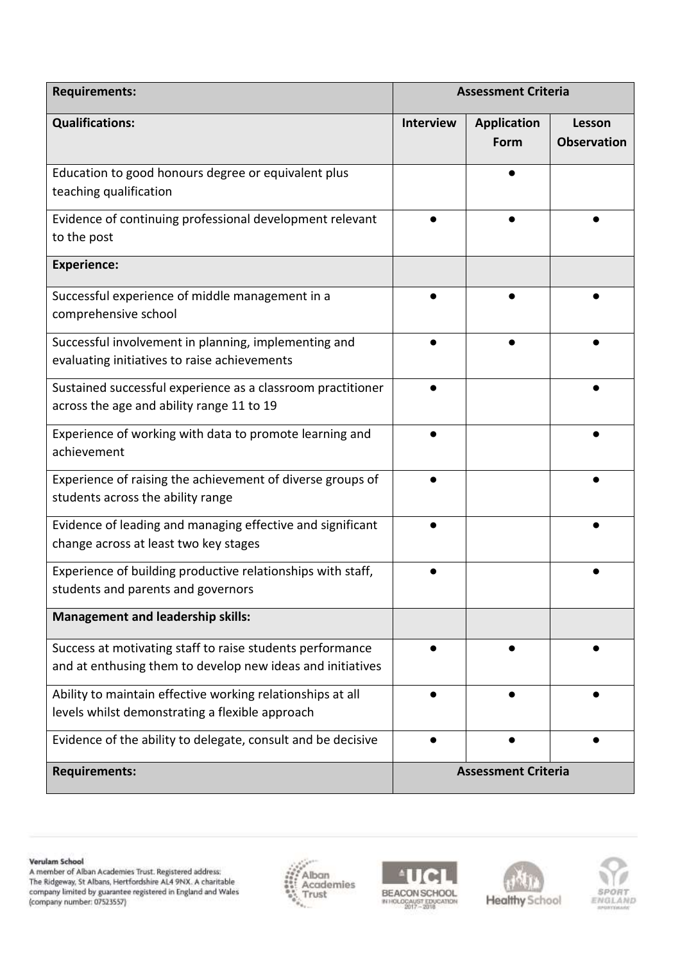| <b>Requirements:</b>                                                                                                    | <b>Assessment Criteria</b> |                            |                              |
|-------------------------------------------------------------------------------------------------------------------------|----------------------------|----------------------------|------------------------------|
| <b>Qualifications:</b>                                                                                                  | <b>Interview</b>           | <b>Application</b><br>Form | Lesson<br><b>Observation</b> |
| Education to good honours degree or equivalent plus<br>teaching qualification                                           |                            |                            |                              |
| Evidence of continuing professional development relevant<br>to the post                                                 |                            |                            |                              |
| <b>Experience:</b>                                                                                                      |                            |                            |                              |
| Successful experience of middle management in a<br>comprehensive school                                                 |                            |                            |                              |
| Successful involvement in planning, implementing and<br>evaluating initiatives to raise achievements                    |                            |                            |                              |
| Sustained successful experience as a classroom practitioner<br>across the age and ability range 11 to 19                |                            |                            |                              |
| Experience of working with data to promote learning and<br>achievement                                                  |                            |                            |                              |
| Experience of raising the achievement of diverse groups of<br>students across the ability range                         |                            |                            |                              |
| Evidence of leading and managing effective and significant<br>change across at least two key stages                     |                            |                            |                              |
| Experience of building productive relationships with staff,<br>students and parents and governors                       |                            |                            |                              |
| <b>Management and leadership skills:</b>                                                                                |                            |                            |                              |
| Success at motivating staff to raise students performance<br>and at enthusing them to develop new ideas and initiatives |                            |                            |                              |
| Ability to maintain effective working relationships at all<br>levels whilst demonstrating a flexible approach           | ●                          |                            |                              |
| Evidence of the ability to delegate, consult and be decisive                                                            |                            |                            |                              |
| <b>Requirements:</b>                                                                                                    | <b>Assessment Criteria</b> |                            |                              |

Verulam School

A member of Alban Academies Trust. Registered address:<br>The Ridgeway, St Albans, Hertfordshire AL4 9NX. A charitable<br>company limited by guarantee registered in England and Wales<br>(company number: 07523557)